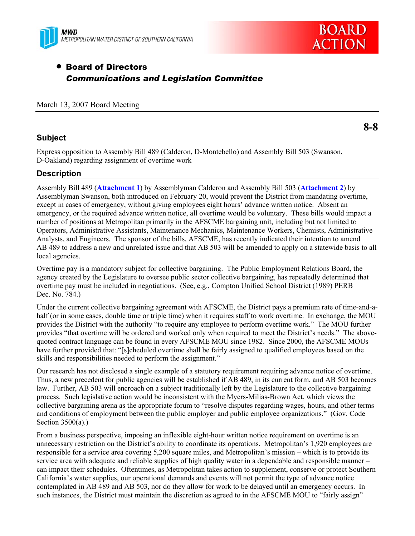



# • Board of Directors *Communications and Legislation Committee*

### March 13, 2007 Board Meeting

## **Subject**

**8-8** 

Express opposition to Assembly Bill 489 (Calderon, D-Montebello) and Assembly Bill 503 (Swanson, D-Oakland) regarding assignment of overtime work

# **Description**

Assembly Bill 489 (**Attachment 1**) by Assemblyman Calderon and Assembly Bill 503 (**Attachment 2**) by Assemblyman Swanson, both introduced on February 20, would prevent the District from mandating overtime, except in cases of emergency, without giving employees eight hours' advance written notice. Absent an emergency, or the required advance written notice, all overtime would be voluntary. These bills would impact a number of positions at Metropolitan primarily in the AFSCME bargaining unit, including but not limited to Operators, Administrative Assistants, Maintenance Mechanics, Maintenance Workers, Chemists, Administrative Analysts, and Engineers. The sponsor of the bills, AFSCME, has recently indicated their intention to amend AB 489 to address a new and unrelated issue and that AB 503 will be amended to apply on a statewide basis to all local agencies.

Overtime pay is a mandatory subject for collective bargaining. The Public Employment Relations Board, the agency created by the Legislature to oversee public sector collective bargaining, has repeatedly determined that overtime pay must be included in negotiations. (See, e.g., Compton Unified School District (1989) PERB Dec. No. 784.)

Under the current collective bargaining agreement with AFSCME, the District pays a premium rate of time-and-ahalf (or in some cases, double time or triple time) when it requires staff to work overtime. In exchange, the MOU provides the District with the authority "to require any employee to perform overtime work." The MOU further provides "that overtime will be ordered and worked only when required to meet the District's needs." The abovequoted contract language can be found in every AFSCME MOU since 1982. Since 2000, the AFSCME MOUs have further provided that: "[s]cheduled overtime shall be fairly assigned to qualified employees based on the skills and responsibilities needed to perform the assignment."

Our research has not disclosed a single example of a statutory requirement requiring advance notice of overtime. Thus, a new precedent for public agencies will be established if AB 489, in its current form, and AB 503 becomes law. Further, AB 503 will encroach on a subject traditionally left by the Legislature to the collective bargaining process. Such legislative action would be inconsistent with the Myers-Milias-Brown Act, which views the collective bargaining arena as the appropriate forum to "resolve disputes regarding wages, hours, and other terms and conditions of employment between the public employer and public employee organizations." (Gov. Code Section 3500(a).)

From a business perspective, imposing an inflexible eight-hour written notice requirement on overtime is an unnecessary restriction on the District's ability to coordinate its operations. Metropolitan's 1,920 employees are responsible for a service area covering 5,200 square miles, and Metropolitan's mission – which is to provide its service area with adequate and reliable supplies of high quality water in a dependable and responsible manner – can impact their schedules. Oftentimes, as Metropolitan takes action to supplement, conserve or protect Southern California's water supplies, our operational demands and events will not permit the type of advance notice contemplated in AB 489 and AB 503, nor do they allow for work to be delayed until an emergency occurs. In such instances, the District must maintain the discretion as agreed to in the AFSCME MOU to "fairly assign"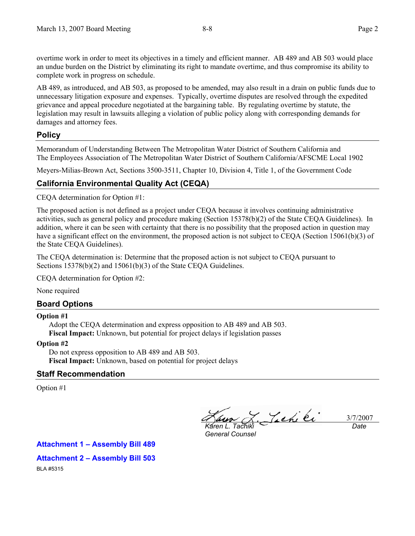overtime work in order to meet its objectives in a timely and efficient manner. AB 489 and AB 503 would place an undue burden on the District by eliminating its right to mandate overtime, and thus compromise its ability to complete work in progress on schedule.

AB 489, as introduced, and AB 503, as proposed to be amended, may also result in a drain on public funds due to unnecessary litigation exposure and expenses. Typically, overtime disputes are resolved through the expedited grievance and appeal procedure negotiated at the bargaining table. By regulating overtime by statute, the legislation may result in lawsuits alleging a violation of public policy along with corresponding demands for damages and attorney fees.

## **Policy**

Memorandum of Understanding Between The Metropolitan Water District of Southern California and The Employees Association of The Metropolitan Water District of Southern California/AFSCME Local 1902

Meyers-Milias-Brown Act, Sections 3500-3511, Chapter 10, Division 4, Title 1, of the Government Code

# **California Environmental Quality Act (CEQA)**

CEQA determination for Option #1:

The proposed action is not defined as a project under CEQA because it involves continuing administrative activities, such as general policy and procedure making (Section 15378(b)(2) of the State CEQA Guidelines). In addition, where it can be seen with certainty that there is no possibility that the proposed action in question may have a significant effect on the environment, the proposed action is not subject to CEQA (Section 15061(b)(3) of the State CEQA Guidelines).

The CEQA determination is: Determine that the proposed action is not subject to CEQA pursuant to Sections 15378(b)(2) and 15061(b)(3) of the State CEQA Guidelines.

CEQA determination for Option #2:

None required

# **Board Options**

#### **Option #1**

Adopt the CEQA determination and express opposition to AB 489 and AB 503. **Fiscal Impact:** Unknown, but potential for project delays if legislation passes

#### **Option #2**

Do not express opposition to AB 489 and AB 503. **Fiscal Impact:** Unknown, based on potential for project delays

# **Staff Recommendation**

Option #1

3/7/2007 *Karen L. Tachiki* 

*General Counsel* 

*Date* 

**Attachment 1 – Assembly Bill 489** 

### **Attachment 2 – Assembly Bill 503**

BLA #5315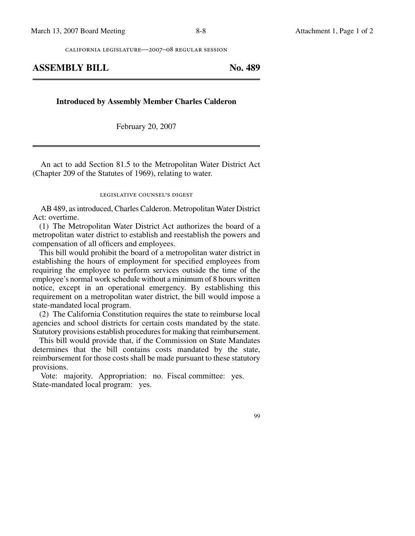california legislature—2007–08 regular session

### **ASSEMBLY BILL No. 489**

**Introduced by Assembly Member Charles Calderon**

February 20, 2007

An act to add Section 81.5 to the Metropolitan Water District Act (Chapter 209 of the Statutes of 1969), relating to water.

#### legislative counsel's digest

AB 489, as introduced, Charles Calderon. Metropolitan Water District Act: overtime.

(1) The Metropolitan Water District Act authorizes the board of a metropolitan water district to establish and reestablish the powers and compensation of all officers and employees.

This bill would prohibit the board of a metropolitan water district in establishing the hours of employment for specified employees from requiring the employee to perform services outside the time of the employee's normal work schedule without a minimum of 8 hours written notice, except in an operational emergency. By establishing this requirement on a metropolitan water district, the bill would impose a state-mandated local program.

(2) The California Constitution requires the state to reimburse local agencies and school districts for certain costs mandated by the state. Statutory provisions establish procedures for making that reimbursement.

This bill would provide that, if the Commission on State Mandates determines that the bill contains costs mandated by the state, reimbursement for those costs shall be made pursuant to these statutory provisions.

Vote: majority. Appropriation: no. Fiscal committee: yes. State-mandated local program: yes.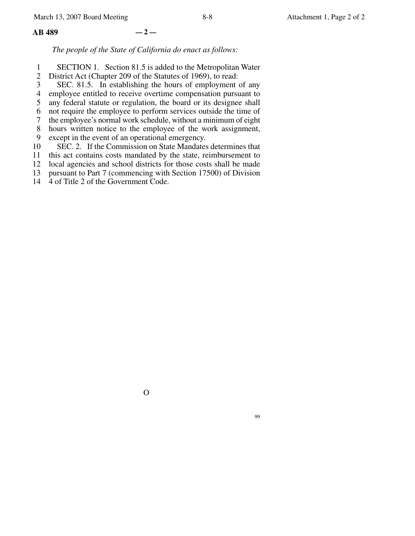#### **AB 489 — 2 —**

*The people of the State of California do enact as follows:*

- 1 SECTION 1. Section 81.5 is added to the Metropolitan Water
- 2 District Act (Chapter 209 of the Statutes of 1969), to read:
- 3 SEC. 81.5. In establishing the hours of employment of any
- 4 employee entitled to receive overtime compensation pursuant to
- 5 any federal statute or regulation, the board or its designee shall
- 6 not require the employee to perform services outside the time of
- 7 the employee's normal work schedule, without a minimum of eight
- 8 hours written notice to the employee of the work assignment,
- 9 except in the event of an operational emergency.
- 10 SEC. 2. If the Commission on State Mandates determines that
- 11 this act contains costs mandated by the state, reimbursement to
- 12 local agencies and school districts for those costs shall be made
- 13 pursuant to Part 7 (commencing with Section 17500) of Division
- 14 4 of Title 2 of the Government Code.

O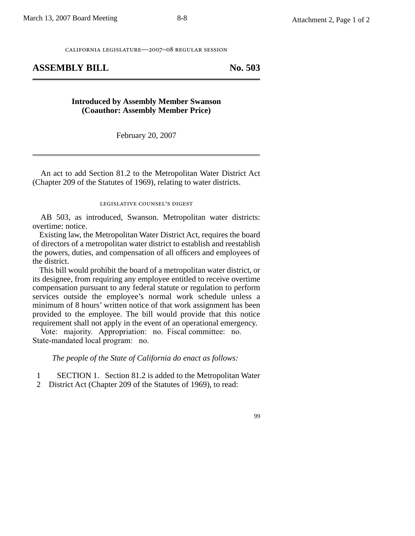california legislature—2007–08 regular session

### ASSEMBLY BILL No. 503

#### **Introduced by Assembly Member Swanson (Coauthor: Assembly Member Price)**

February 20, 2007

An act to add Section 81.2 to the Metropolitan Water District Act (Chapter 209 of the Statutes of 1969), relating to water districts.

### legislative counsel' s digest

AB 503, as introduced, Swanson. Metropolitan water districts: overtime: notice.

Existing law, the Metropolitan Water District Act, requires the board of directors of a metropolitan water district to establish and reestablish the powers, duties, and compensation of all officers and employees of the district.

This bill would prohibit the board of a metropolitan water district, or its designee, from requiring any employee entitled to receive overtime compensation pursuant to any federal statute or regulation to perform services outside the employee's normal work schedule unless a minimum of 8 hours' written notice of that work assignment has been provided to the employee. The bill would provide that this notice requirement shall not apply in the event of an operational emergency.

Vote: majority. Appropriation: no. Fiscal committee: no. State-mandated local program: no.

*The people of the State of California do enact as follows:*

1 SECTION 1. Section 81.2 is added to the Metropolitan Water

2 District Act (Chapter 209 of the Statutes of 1969), to read: